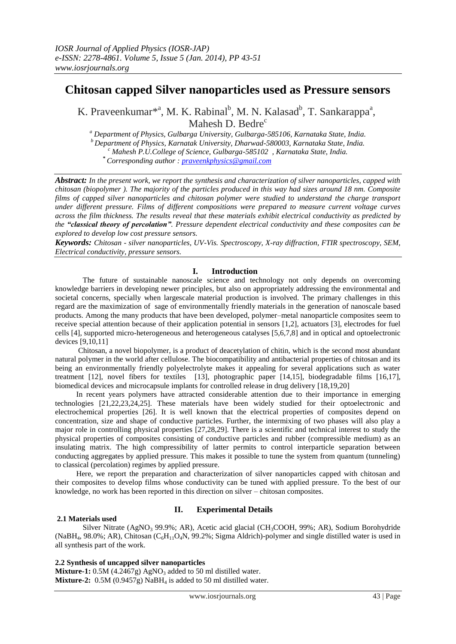# **Chitosan capped Silver nanoparticles used as Pressure sensors**

K. Praveenkumar<sup>\*a</sup>, M. K. Rabinal<sup>b</sup>, M. N. Kalasad<sup>b</sup>, T. Sankarappa<sup>a</sup>, Mahesh D. Bedre $<sup>c</sup>$ </sup>

*<sup>a</sup> Department of Physics, Gulbarga University, Gulbarga-585106, Karnataka State, India. <sup>b</sup>Department of Physics, Karnatak University, Dharwad-580003, Karnataka State, India. <sup>c</sup> Mahesh P.U.College of Science, Gulbarga-585102 , Karnataka State, India.* **\*** *Corresponding author : [praveenkphysics@gmail.com](mailto:praveenkphysics@gmail.com)*

*Abstract: In the present work, we report the synthesis and characterization of silver nanoparticles, capped with chitosan (biopolymer ). The majority of the particles produced in this way had sizes around 18 nm. Composite films of capped silver nanoparticles and chitosan polymer were studied to understand the charge transport under different pressure. Films of different compositions were prepared to measure current voltage curves across the film thickness. The results reveal that these materials exhibit electrical conductivity as predicted by the "classical theory of percolation". Pressure dependent electrical conductivity and these composites can be explored to develop low cost pressure sensors.*

*Keywords: Chitosan - silver nanoparticles, UV-Vis. Spectroscopy, X-ray diffraction, FTIR spectroscopy, SEM, Electrical conductivity, pressure sensors.*

# **I. Introduction**

The future of sustainable nanoscale science and technology not only depends on overcoming knowledge barriers in developing newer principles, but also on appropriately addressing the environmental and societal concerns, specially when largescale material production is involved. The primary challenges in this regard are the maximization of sage of environmentally friendly materials in the generation of nanoscale based products. Among the many products that have been developed, polymer–metal nanoparticle composites seem to receive special attention because of their application potential in sensors [1,2], actuators [3], electrodes for fuel cells [4], supported micro-heterogeneous and heterogeneous catalyses [5,6,7,8] and in optical and optoelectronic devices [9,10,11]

 Chitosan, a novel biopolymer, is a product of deacetylation of chitin, which is the second most abundant natural polymer in the world after cellulose. The biocompatibility and antibacterial properties of chitosan and its being an environmentally friendly polyelectrolyte makes it appealing for several applications such as water treatment [12], novel fibers for textiles [13], photographic paper [14,15], biodegradable films [16,17], biomedical devices and microcapsule implants for controlled release in drug delivery [18,19,20]

 In recent years polymers have attracted considerable attention due to their importance in emerging technologies [21,22,23,24,25]. These materials have been widely studied for their optoelectronic and electrochemical properties [26]. It is well known that the electrical properties of composites depend on concentration, size and shape of conductive particles. Further, the intermixing of two phases will also play a major role in controlling physical properties [27,28,29]. There is a scientific and technical interest to study the physical properties of composites consisting of conductive particles and rubber (compressible medium) as an insulating matrix. The high compressibility of latter permits to control interparticle separation between conducting aggregates by applied pressure. This makes it possible to tune the system from quantum (tunneling) to classical (percolation) regimes by applied pressure.

 Here, we report the preparation and characterization of silver nanoparticles capped with chitosan and their composites to develop films whose conductivity can be tuned with applied pressure. To the best of our knowledge, no work has been reported in this direction on silver – chitosan composites.

# **II. Experimental Details**

#### **2.1 Materials used**

Silver Nitrate (AgNO<sub>3</sub> 99.9%; AR), Acetic acid glacial (CH<sub>3</sub>COOH, 99%; AR), Sodium Borohydride (NaBH<sub>4</sub>, 98.0%; AR), Chitosan (C<sub>6</sub>H<sub>11</sub>O<sub>4</sub>N, 99.2%; Sigma Aldrich)-polymer and single distilled water is used in all synthesis part of the work.

#### **2.2 Synthesis of uncapped silver nanoparticles**

**Mixture-1:** 0.5M (4.2467g) AgNO<sub>3</sub> added to 50 ml distilled water. **Mixture-2:** 0.5M (0.9457g) NaBH<sup>4</sup> is added to 50 ml distilled water.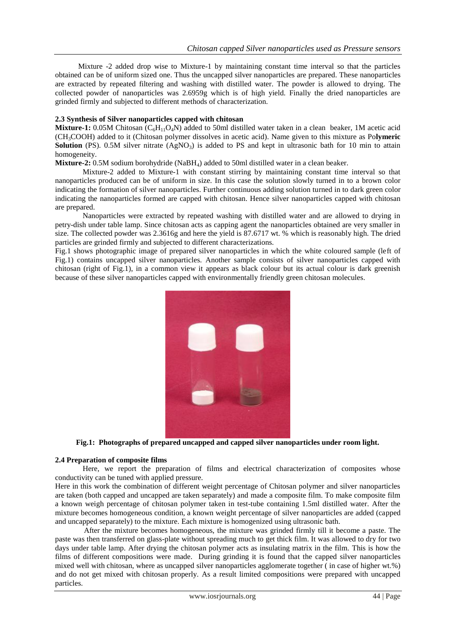Mixture -2 added drop wise to Mixture-1 by maintaining constant time interval so that the particles obtained can be of uniform sized one. Thus the uncapped silver nanoparticles are prepared. These nanoparticles are extracted by repeated filtering and washing with distilled water. The powder is allowed to drying. The collected powder of nanoparticles was 2.6959g which is of high yield. Finally the dried nanoparticles are grinded firmly and subjected to different methods of characterization.

#### **2.3 Synthesis of Silver nanoparticles capped with chitosan**

**Mixture-1:** 0.05M Chitosan ( $C_6H_{11}O_4N$ ) added to 50ml distilled water taken in a clean beaker, 1M acetic acid (CH3COOH) added to it (Chitosan polymer dissolves in acetic acid). Name given to this mixture as Po**lymeric Solution** (PS). 0.5M silver nitrate  $(AgNO<sub>3</sub>)$  is added to PS and kept in ultrasonic bath for 10 min to attain homogeneity.

**Mixture-2:** 0.5M sodium borohydride (NaBH<sub>4</sub>) added to 50ml distilled water in a clean beaker.

 Mixture-2 added to Mixture-1 with constant stirring by maintaining constant time interval so that nanoparticles produced can be of uniform in size. In this case the solution slowly turned in to a brown color indicating the formation of silver nanoparticles. Further continuous adding solution turned in to dark green color indicating the nanoparticles formed are capped with chitosan. Hence silver nanoparticles capped with chitosan are prepared.

 Nanoparticles were extracted by repeated washing with distilled water and are allowed to drying in petry-dish under table lamp. Since chitosan acts as capping agent the nanoparticles obtained are very smaller in size. The collected powder was 2.3616g and here the yield is 87.6717 wt. % which is reasonably high. The dried particles are grinded firmly and subjected to different characterizations.

Fig.1 shows photographic image of prepared silver nanoparticles in which the white coloured sample (left of Fig.1) contains uncapped silver nanoparticles. Another sample consists of silver nanoparticles capped with chitosan (right of Fig.1), in a common view it appears as black colour but its actual colour is dark greenish because of these silver nanoparticles capped with environmentally friendly green chitosan molecules.



**Fig.1: Photographs of prepared uncapped and capped silver nanoparticles under room light.**

#### **2.4 Preparation of composite films**

Here, we report the preparation of films and electrical characterization of composites whose conductivity can be tuned with applied pressure.

Here in this work the combination of different weight percentage of Chitosan polymer and silver nanoparticles are taken (both capped and uncapped are taken separately) and made a composite film. To make composite film a known weigh percentage of chitosan polymer taken in test-tube containing 1.5ml distilled water. After the mixture becomes homogeneous condition, a known weight percentage of silver nanoparticles are added (capped and uncapped separately) to the mixture. Each mixture is homogenized using ultrasonic bath.

 After the mixture becomes homogeneous, the mixture was grinded firmly till it become a paste. The paste was then transferred on glass-plate without spreading much to get thick film. It was allowed to dry for two days under table lamp. After drying the chitosan polymer acts as insulating matrix in the film. This is how the films of different compositions were made. During grinding it is found that the capped silver nanoparticles mixed well with chitosan, where as uncapped silver nanoparticles agglomerate together ( in case of higher wt.%) and do not get mixed with chitosan properly. As a result limited compositions were prepared with uncapped particles.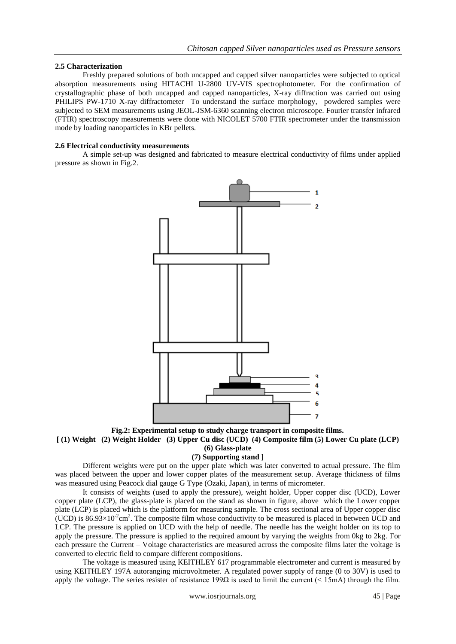### **2.5 Characterization**

 Freshly prepared solutions of both uncapped and capped silver nanoparticles were subjected to optical absorption measurements using HITACHI U-2800 UV-VIS spectrophotometer. For the confirmation of crystallographic phase of both uncapped and capped nanoparticles, X-ray diffraction was carried out using PHILIPS PW-1710 X-ray diffractometer To understand the surface morphology, powdered samples were subjected to SEM measurements using JEOL-JSM-6360 scanning electron microscope. Fourier transfer infrared (FTIR) spectroscopy measurements were done with NICOLET 5700 FTIR spectrometer under the transmission mode by loading nanoparticles in KBr pellets.

### **2.6 Electrical conductivity measurements**

A simple set-up was designed and fabricated to measure electrical conductivity of films under applied pressure as shown in Fig.2.



**Fig.2: Experimental setup to study charge transport in composite films. [ (1) Weight (2) Weight Holder (3) Upper Cu disc (UCD) (4) Composite film (5) Lower Cu plate (LCP) (6) Glass-plate**

# **(7) Supporting stand ]**

 Different weights were put on the upper plate which was later converted to actual pressure. The film was placed between the upper and lower copper plates of the measurement setup. Average thickness of films was measured using Peacock dial gauge G Type (Ozaki, Japan), in terms of micrometer.

 It consists of weights (used to apply the pressure), weight holder, Upper copper disc (UCD), Lower copper plate (LCP), the glass-plate is placed on the stand as shown in figure, above which the Lower copper plate (LCP) is placed which is the platform for measuring sample. The cross sectional area of Upper copper disc (UCD) is  $86.93 \times 10^{-2}$  cm<sup>2</sup>. The composite film whose conductivity to be measured is placed in between UCD and LCP. The pressure is applied on UCD with the help of needle. The needle has the weight holder on its top to apply the pressure. The pressure is applied to the required amount by varying the weights from 0kg to 2kg. For each pressure the Current – Voltage characteristics are measured across the composite films later the voltage is converted to electric field to compare different compositions.

 The voltage is measured using KEITHLEY 617 programmable electrometer and current is measured by using KEITHLEY 197A autoranging microvoltmeter. A regulated power supply of range (0 to 30V) is used to apply the voltage. The series resister of resistance  $199\Omega$  is used to limit the current (< 15mA) through the film.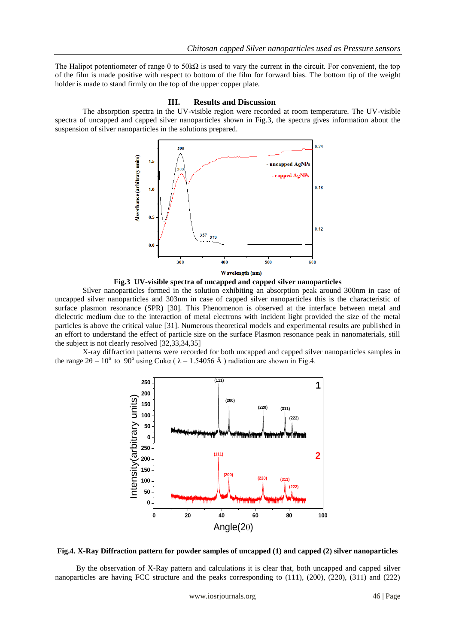The Halipot potentiometer of range 0 to  $50k\Omega$  is used to vary the current in the circuit. For convenient, the top of the film is made positive with respect to bottom of the film for forward bias. The bottom tip of the weight holder is made to stand firmly on the top of the upper copper plate.

#### **III. Results and Discussion**

 The absorption spectra in the UV-visible region were recorded at room temperature. The UV-visible spectra of uncapped and capped silver nanoparticles shown in Fig.3, the spectra gives information about the suspension of silver nanoparticles in the solutions prepared.



**Fig.3 UV-visible spectra of uncapped and capped silver nanoparticles**

 Silver nanoparticles formed in the solution exhibiting an absorption peak around 300nm in case of uncapped silver nanoparticles and 303nm in case of capped silver nanoparticles this is the characteristic of surface plasmon resonance (SPR) [30]. This Phenomenon is observed at the interface between metal and dielectric medium due to the interaction of metal electrons with incident light provided the size of the metal particles is above the critical value [31]. Numerous theoretical models and experimental results are published in an effort to understand the effect of particle size on the surface Plasmon resonance peak in nanomaterials, still the subject is not clearly resolved [32,33,34,35]

 X-ray diffraction patterns were recorded for both uncapped and capped silver nanoparticles samples in the range  $2\theta = 10^{\circ}$  to  $90^{\circ}$  using Cuka ( $\lambda = 1.54056$  Å) radiation are shown in Fig.4.





 By the observation of X-Ray pattern and calculations it is clear that, both uncapped and capped silver nanoparticles are having FCC structure and the peaks corresponding to (111), (200), (220), (311) and (222)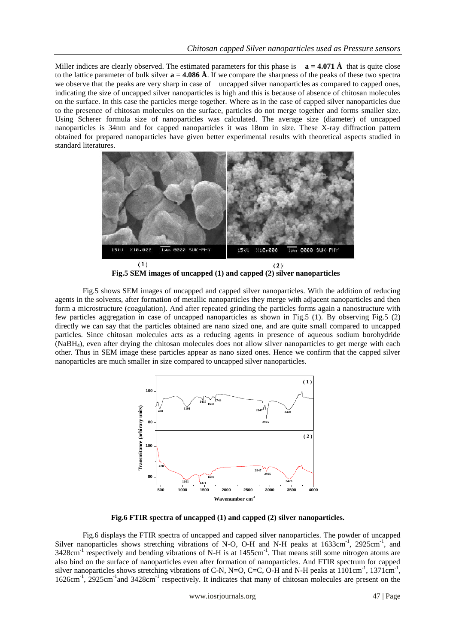Miller indices are clearly observed. The estimated parameters for this phase is  $\mathbf{a} = 4.071 \, \text{\AA}$  that is quite close to the lattice parameter of bulk silver  $\mathbf{a} = 4.086 \, \mathbf{\AA}$ . If we compare the sharpness of the peaks of these two spectra we observe that the peaks are very sharp in case of uncapped silver nanoparticles as compared to capped ones, indicating the size of uncapped silver nanoparticles is high and this is because of absence of chitosan molecules on the surface. In this case the particles merge together. Where as in the case of capped silver nanoparticles due to the presence of chitosan molecules on the surface, particles do not merge together and forms smaller size. Using Scherer formula size of nanoparticles was calculated. The average size (diameter) of uncapped nanoparticles is 34nm and for capped nanoparticles it was 18nm in size. These X-ray diffraction pattern obtained for prepared nanoparticles have given better experimental results with theoretical aspects studied in standard literatures.



**Fig.5 SEM images of uncapped (1) and capped (2) silver nanoparticles**

 Fig.5 shows SEM images of uncapped and capped silver nanoparticles. With the addition of reducing agents in the solvents, after formation of metallic nanoparticles they merge with adjacent nanoparticles and then form a microstructure (coagulation). And after repeated grinding the particles forms again a nanostructure with few particles aggregation in case of uncapped nanoparticles as shown in Fig.5 (1). By observing Fig.5 (2) directly we can say that the particles obtained are nano sized one, and are quite small compared to uncapped particles. Since chitosan molecules acts as a reducing agents in presence of aqueous sodium borohydride (NaBH4), even after drying the chitosan molecules does not allow silver nanoparticles to get merge with each other. Thus in SEM image these particles appear as nano sized ones. Hence we confirm that the capped silver nanoparticles are much smaller in size compared to uncapped silver nanoparticles.



**Fig.6 FTIR spectra of uncapped (1) and capped (2) silver nanoparticles.**

Fig.6 displays the FTIR spectra of uncapped and capped silver nanoparticles. The powder of uncapped Silver nanoparticles shows stretching vibrations of N-O, O-H and N-H peaks at 1633cm<sup>-1</sup>, 2925cm<sup>-1</sup>, and 3428cm<sup>-1</sup> respectively and bending vibrations of N-H is at 1455cm<sup>-1</sup>. That means still some nitrogen atoms are also bind on the surface of nanoparticles even after formation of nanoparticles. And FTIR spectrum for capped silver nanoparticles shows stretching vibrations of C-N, N=O, C=C, O-H and N-H peaks at  $1101 \text{cm}^{-1}$ ,  $1371 \text{cm}^{-1}$ , 1626cm<sup>-1</sup>, 2925cm<sup>-1</sup> and 3428cm<sup>-1</sup> respectively. It indicates that many of chitosan molecules are present on the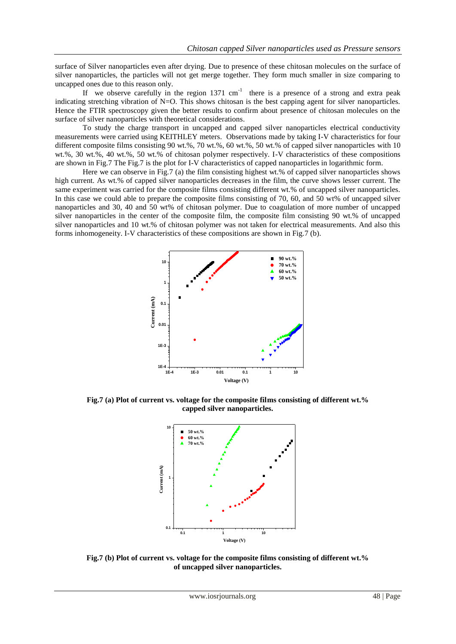surface of Silver nanoparticles even after drying. Due to presence of these chitosan molecules on the surface of silver nanoparticles, the particles will not get merge together. They form much smaller in size comparing to uncapped ones due to this reason only.

If we observe carefully in the region  $1371 \text{ cm}^{-1}$  there is a presence of a strong and extra peak indicating stretching vibration of N=O. This shows chitosan is the best capping agent for silver nanoparticles. Hence the FTIR spectroscopy given the better results to confirm about presence of chitosan molecules on the surface of silver nanoparticles with theoretical considerations.

 To study the charge transport in uncapped and capped silver nanoparticles electrical conductivity measurements were carried using KEITHLEY meters. Observations made by taking I-V characteristics for four different composite films consisting 90 wt.%, 70 wt.%, 60 wt.%, 50 wt.% of capped silver nanoparticles with 10 wt.%, 30 wt.%, 40 wt.%, 50 wt.% of chitosan polymer respectively. I-V characteristics of these compositions are shown in Fig.7 The Fig.7 is the plot for I-V characteristics of capped nanoparticles in logarithmic form.

 Here we can observe in Fig.7 (a) the film consisting highest wt.% of capped silver nanoparticles shows high current. As wt.% of capped silver nanoparticles decreases in the film, the curve shows lesser current. The same experiment was carried for the composite films consisting different wt.% of uncapped silver nanoparticles. In this case we could able to prepare the composite films consisting of 70, 60, and 50 wt% of uncapped silver nanoparticles and 30, 40 and 50 wt% of chitosan polymer. Due to coagulation of more number of uncapped silver nanoparticles in the center of the composite film, the composite film consisting 90 wt.% of uncapped silver nanoparticles and 10 wt.% of chitosan polymer was not taken for electrical measurements. And also this forms inhomogeneity. I-V characteristics of these compositions are shown in Fig.7 (b).



**Fig.7 (a) Plot of current vs. voltage for the composite films consisting of different wt.% capped silver nanoparticles.**



**Fig.7 (b) Plot of current vs. voltage for the composite films consisting of different wt.% of uncapped silver nanoparticles.**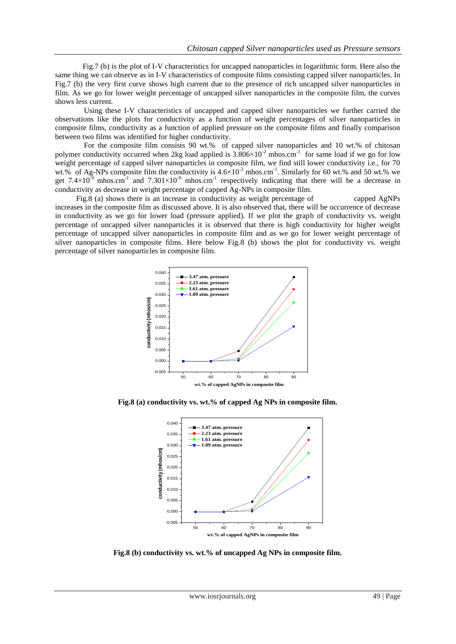Fig.7 (b) is the plot of I-V characteristics for uncapped nanoparticles in logarithmic form. Here also the same thing we can observe as in I-V characteristics of composite films consisting capped silver nanoparticles. In Fig.7 (b) the very first curve shows high current due to the presence of rich uncapped silver nanoparticles in film. As we go for lower weight percentage of uncapped silver nanoparticles in the composite film, the curves shows less current.

 Using these I-V characteristics of uncapped and capped silver nanoparticles we further carried the observations like the plots for conductivity as a function of weight percentages of silver nanoparticles in composite films, conductivity as a function of applied pressure on the composite films and finally comparison between two films was identified for higher conductivity.

 For the composite film consists 90 wt.% of capped silver nanoparticles and 10 wt.% of chitosan polymer conductivity occurred when 2kg load applied is  $3.806 \times 10^{-2}$  mhos.cm<sup>-1</sup> for same load if we go for low weight percentage of capped silver nanoparticles in composite film, we find still lower conductivity i.e., for 70 wt.% of Ag-NPs composite film the conductivity is  $4.6 \times 10^{-3}$  mhos.cm<sup>-1</sup>. Similarly for 60 wt.% and 50 wt.% we get 7.4 $\times$ 10<sup>-9</sup> mhos.cm<sup>-1</sup> and 7.301 $\times$ 10<sup>-9</sup> mhos.cm<sup>-1</sup> respectively indicating that there will be a decrease in conductivity as decrease in weight percentage of capped Ag-NPs in composite film.

Fig.8 (a) shows there is an increase in conductivity as weight percentage of capped AgNPs increases in the composite film as discussed above. It is also observed that, there will be occurrence of decrease in conductivity as we go for lower load (pressure applied). If we plot the graph of conductivity vs. weight percentage of uncapped silver nanoparticles it is observed that there is high conductivity for higher weight percentage of uncapped silver nanoparticles in composite film and as we go for lower weight percentage of silver nanoparticles in composite films. Here below Fig.8 (b) shows the plot for conductivity vs. weight percentage of silver nanoparticles in composite film.



**Fig.8 (a) conductivity vs. wt.% of capped Ag NPs in composite film.**



**Fig.8 (b) conductivity vs. wt.% of uncapped Ag NPs in composite film.**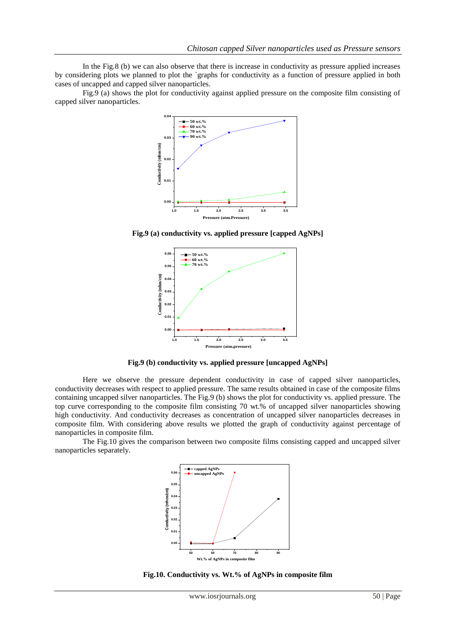In the Fig.8 (b) we can also observe that there is increase in conductivity as pressure applied increases by considering plots we planned to plot the `graphs for conductivity as a function of pressure applied in both cases of uncapped and capped silver nanoparticles.

 Fig.9 (a) shows the plot for conductivity against applied pressure on the composite film consisting of capped silver nanoparticles.



**Fig.9 (a) conductivity vs. applied pressure [capped AgNPs]**



**Fig.9 (b) conductivity vs. applied pressure [uncapped AgNPs]**

Here we observe the pressure dependent conductivity in case of capped silver nanoparticles, conductivity decreases with respect to applied pressure. The same results obtained in case of the composite films containing uncapped silver nanoparticles. The Fig.9 (b) shows the plot for conductivity vs. applied pressure. The top curve corresponding to the composite film consisting 70 wt.% of uncapped silver nanoparticles showing high conductivity. And conductivity decreases as concentration of uncapped silver nanoparticles decreases in composite film. With considering above results we plotted the graph of conductivity against percentage of nanoparticles in composite film.

 The Fig.10 gives the comparison between two composite films consisting capped and uncapped silver nanoparticles separately.



 **Fig.10. Conductivity vs. Wt.% of AgNPs in composite film**